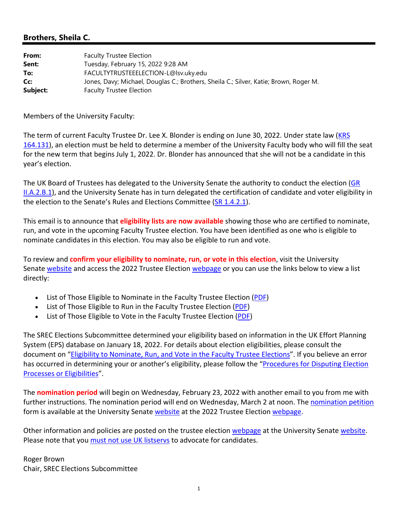## **Brothers, Sheila C.**

| From:    | <b>Faculty Trustee Election</b>                                                       |
|----------|---------------------------------------------------------------------------------------|
| Sent:    | Tuesday, February 15, 2022 9:28 AM                                                    |
| To:      | FACULTYTRUSTEEELECTION-L@lsv.uky.edu                                                  |
| Cc:      | Jones, Davy; Michael, Douglas C.; Brothers, Sheila C.; Silver, Katie; Brown, Roger M. |
| Subject: | <b>Faculty Trustee Election</b>                                                       |

Members of the University Faculty:

The term of current Faculty Trustee Dr. Lee X. Blonder is ending on June 30, 2022. Under state law (KRS 164.131), an election must be held to determine a member of the University Faculty body who will fill the seat for the new term that begins July 1, 2022. Dr. Blonder has announced that she will not be a candidate in this year's election.

The UK Board of Trustees has delegated to the University Senate the authority to conduct the election (GR II.A.2.B.1), and the University Senate has in turn delegated the certification of candidate and voter eligibility in the election to the Senate's Rules and Elections Committee (SR 1.4.2.1).

This email is to announce that **eligibility lists are now available** showing those who are certified to nominate, run, and vote in the upcoming Faculty Trustee election. You have been identified as one who is eligible to nominate candidates in this election. You may also be eligible to run and vote.

To review and **confirm your eligibility to nominate, run, or vote in this election**, visit the University Senate website and access the 2022 Trustee Election webpage or you can use the links below to view a list directly:

- List of Those Eligible to Nominate in the Faculty Trustee Election (PDF)
- List of Those Eligible to Run in the Faculty Trustee Election (PDF)
- List of Those Eligible to Vote in the Faculty Trustee Election (PDF)

The SREC Elections Subcommittee determined your eligibility based on information in the UK Effort Planning System (EPS) database on January 18, 2022. For details about election eligibilities, please consult the document on "Eligibility to Nominate, Run, and Vote in the Faculty Trustee Elections". If you believe an error has occurred in determining your or another's eligibility, please follow the "Procedures for Disputing Election Processes or Eligibilities".

The **nomination period** will begin on Wednesday, February 23, 2022 with another email to you from me with further instructions. The nomination period will end on Wednesday, March 2 at noon. The nomination petition form is available at the University Senate website at the 2022 Trustee Election webpage.

Other information and policies are posted on the trustee election webpage at the University Senate website. Please note that you must not use UK listserys to advocate for candidates.

Roger Brown Chair, SREC Elections Subcommittee